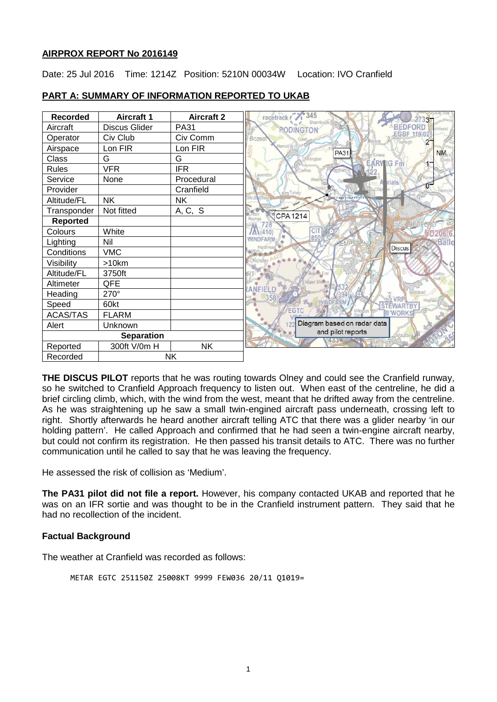### **AIRPROX REPORT No 2016149**

Date: 25 Jul 2016 Time: 1214Z Position: 5210N 00034W Location: IVO Cranfield

| <b>Recorded</b>   | <b>Aircraft 1</b>    | <b>Aircraft 2</b> | 345<br>racetrack              |
|-------------------|----------------------|-------------------|-------------------------------|
| Aircraft          | <b>Discus Glider</b> | <b>PA31</b>       | <b>RODINGTON</b>              |
| Operator          | Civ Club             | Civ Comm          | Bozeal                        |
| Airspace          | Lon FIR              | Lon FIR           | Harrold<br>NM.<br><b>PA31</b> |
| Class             | G                    | G                 | <b>EARVIG Fm</b>              |
| <b>Rules</b>      | <b>VFR</b>           | <b>IFR</b>        |                               |
| Service           | None                 | Procedural        | rials                         |
| Provider          |                      | Cranfield         | $\overline{0}$<br>m Turvey    |
| Altitude/FL       | <b>NK</b>            | <b>NK</b>         |                               |
| Transponder       | Not fitted           | A, C, S           | <b>CPA1214</b>                |
| <b>Reported</b>   |                      |                   |                               |
| Colours           | White                |                   |                               |
| Lighting          | Nil                  |                   | 850<br>Ballo                  |
| Conditions        | <b>VMC</b>           |                   | <b>Discus</b>                 |
| Visibility        | >10km                |                   |                               |
| Altitude/FL       | 3750ft               |                   | <b>Bourne</b> End             |
| Altimeter         | QFE                  |                   |                               |
| Heading           | 270°                 |                   |                               |
| Speed             | 60kt                 |                   | <b>Havne</b><br><b>WINDE</b>  |
| <b>ACAS/TAS</b>   | <b>FLARM</b>         |                   | GTC<br><b>B'WORK</b>          |
| Alert             | Unknown              |                   | Diagram based on radar data   |
| <b>Separation</b> |                      |                   | and pilot reports             |
| Reported          | 300ft V/0m H         | <b>NK</b>         |                               |
| Recorded          | NK                   |                   |                               |

## **PART A: SUMMARY OF INFORMATION REPORTED TO UKAB**

**THE DISCUS PILOT** reports that he was routing towards Olney and could see the Cranfield runway, so he switched to Cranfield Approach frequency to listen out. When east of the centreline, he did a brief circling climb, which, with the wind from the west, meant that he drifted away from the centreline. As he was straightening up he saw a small twin-engined aircraft pass underneath, crossing left to right. Shortly afterwards he heard another aircraft telling ATC that there was a glider nearby 'in our holding pattern'. He called Approach and confirmed that he had seen a twin-engine aircraft nearby, but could not confirm its registration. He then passed his transit details to ATC. There was no further communication until he called to say that he was leaving the frequency.

He assessed the risk of collision as 'Medium'.

**The PA31 pilot did not file a report.** However, his company contacted UKAB and reported that he was on an IFR sortie and was thought to be in the Cranfield instrument pattern. They said that he had no recollection of the incident.

## **Factual Background**

The weather at Cranfield was recorded as follows:

METAR EGTC 251150Z 25008KT 9999 FEW036 20/11 Q1019=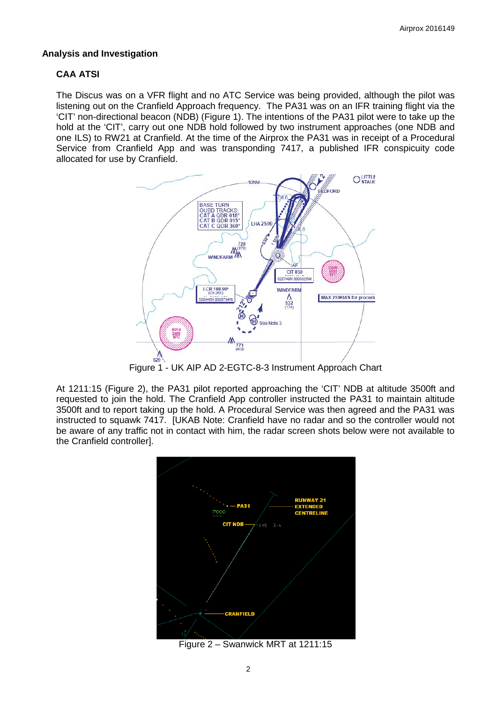## **Analysis and Investigation**

## **CAA ATSI**

The Discus was on a VFR flight and no ATC Service was being provided, although the pilot was listening out on the Cranfield Approach frequency. The PA31 was on an IFR training flight via the 'CIT' non-directional beacon (NDB) (Figure 1). The intentions of the PA31 pilot were to take up the hold at the 'CIT', carry out one NDB hold followed by two instrument approaches (one NDB and one ILS) to RW21 at Cranfield. At the time of the Airprox the PA31 was in receipt of a Procedural Service from Cranfield App and was transponding 7417, a published IFR conspicuity code allocated for use by Cranfield.



Figure 1 - UK AIP AD 2-EGTC-8-3 Instrument Approach Chart

At 1211:15 (Figure 2), the PA31 pilot reported approaching the 'CIT' NDB at altitude 3500ft and requested to join the hold. The Cranfield App controller instructed the PA31 to maintain altitude 3500ft and to report taking up the hold. A Procedural Service was then agreed and the PA31 was instructed to squawk 7417. [UKAB Note: Cranfield have no radar and so the controller would not be aware of any traffic not in contact with him, the radar screen shots below were not available to the Cranfield controller].



Figure 2 – Swanwick MRT at 1211:15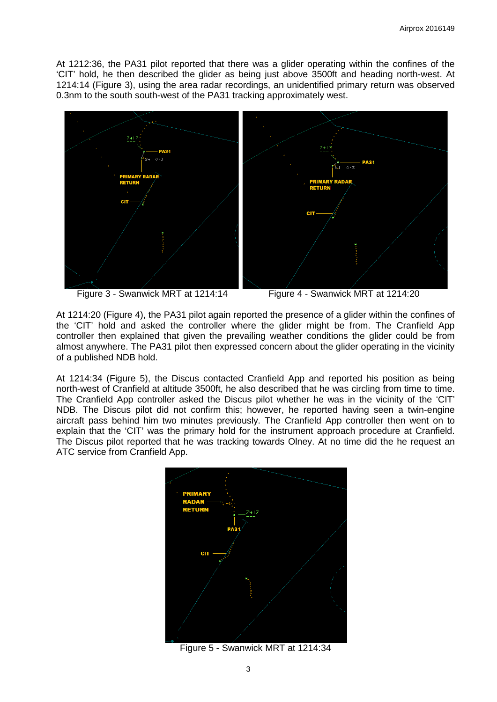At 1212:36, the PA31 pilot reported that there was a glider operating within the confines of the 'CIT' hold, he then described the glider as being just above 3500ft and heading north-west. At 1214:14 (Figure 3), using the area radar recordings, an unidentified primary return was observed 0.3nm to the south south-west of the PA31 tracking approximately west.



Figure 3 - Swanwick MRT at 1214:14 Figure 4 - Swanwick MRT at 1214:20

At 1214:20 (Figure 4), the PA31 pilot again reported the presence of a glider within the confines of the 'CIT' hold and asked the controller where the glider might be from. The Cranfield App controller then explained that given the prevailing weather conditions the glider could be from almost anywhere. The PA31 pilot then expressed concern about the glider operating in the vicinity of a published NDB hold.

At 1214:34 (Figure 5), the Discus contacted Cranfield App and reported his position as being north-west of Cranfield at altitude 3500ft, he also described that he was circling from time to time. The Cranfield App controller asked the Discus pilot whether he was in the vicinity of the 'CIT' NDB. The Discus pilot did not confirm this; however, he reported having seen a twin-engine aircraft pass behind him two minutes previously. The Cranfield App controller then went on to explain that the 'CIT' was the primary hold for the instrument approach procedure at Cranfield. The Discus pilot reported that he was tracking towards Olney. At no time did the he request an ATC service from Cranfield App.



Figure 5 - Swanwick MRT at 1214:34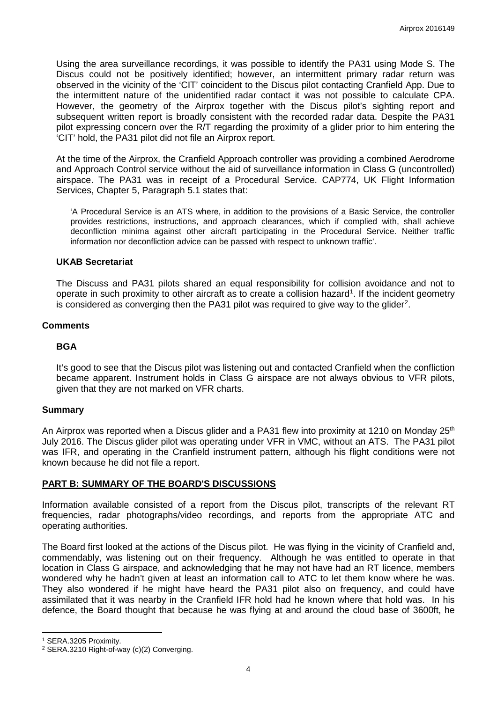Using the area surveillance recordings, it was possible to identify the PA31 using Mode S. The Discus could not be positively identified; however, an intermittent primary radar return was observed in the vicinity of the 'CIT' coincident to the Discus pilot contacting Cranfield App. Due to the intermittent nature of the unidentified radar contact it was not possible to calculate CPA. However, the geometry of the Airprox together with the Discus pilot's sighting report and subsequent written report is broadly consistent with the recorded radar data. Despite the PA31 pilot expressing concern over the R/T regarding the proximity of a glider prior to him entering the 'CIT' hold, the PA31 pilot did not file an Airprox report.

At the time of the Airprox, the Cranfield Approach controller was providing a combined Aerodrome and Approach Control service without the aid of surveillance information in Class G (uncontrolled) airspace. The PA31 was in receipt of a Procedural Service. CAP774, UK Flight Information Services, Chapter 5, Paragraph 5.1 states that:

'A Procedural Service is an ATS where, in addition to the provisions of a Basic Service, the controller provides restrictions, instructions, and approach clearances, which if complied with, shall achieve deconfliction minima against other aircraft participating in the Procedural Service. Neither traffic information nor deconfliction advice can be passed with respect to unknown traffic'.

#### **UKAB Secretariat**

The Discuss and PA31 pilots shared an equal responsibility for collision avoidance and not to operate in such proximity to other aircraft as to create a collision hazard<sup>[1](#page-3-0)</sup>. If the incident geometry is considered as converging then the PA31 pilot was required to give way to the glider<sup>[2](#page-3-1)</sup>.

#### **Comments**

#### **BGA**

It's good to see that the Discus pilot was listening out and contacted Cranfield when the confliction became apparent. Instrument holds in Class G airspace are not always obvious to VFR pilots, given that they are not marked on VFR charts.

#### **Summary**

An Airprox was reported when a Discus glider and a PA31 flew into proximity at 1210 on Monday 25<sup>th</sup> July 2016. The Discus glider pilot was operating under VFR in VMC, without an ATS. The PA31 pilot was IFR, and operating in the Cranfield instrument pattern, although his flight conditions were not known because he did not file a report.

### **PART B: SUMMARY OF THE BOARD'S DISCUSSIONS**

Information available consisted of a report from the Discus pilot, transcripts of the relevant RT frequencies, radar photographs/video recordings, and reports from the appropriate ATC and operating authorities.

The Board first looked at the actions of the Discus pilot. He was flying in the vicinity of Cranfield and, commendably, was listening out on their frequency. Although he was entitled to operate in that location in Class G airspace, and acknowledging that he may not have had an RT licence, members wondered why he hadn't given at least an information call to ATC to let them know where he was. They also wondered if he might have heard the PA31 pilot also on frequency, and could have assimilated that it was nearby in the Cranfield IFR hold had he known where that hold was. In his defence, the Board thought that because he was flying at and around the cloud base of 3600ft, he

l

<span id="page-3-0"></span><sup>1</sup> SERA.3205 Proximity.

<span id="page-3-1"></span><sup>2</sup> SERA.3210 Right-of-way (c)(2) Converging.